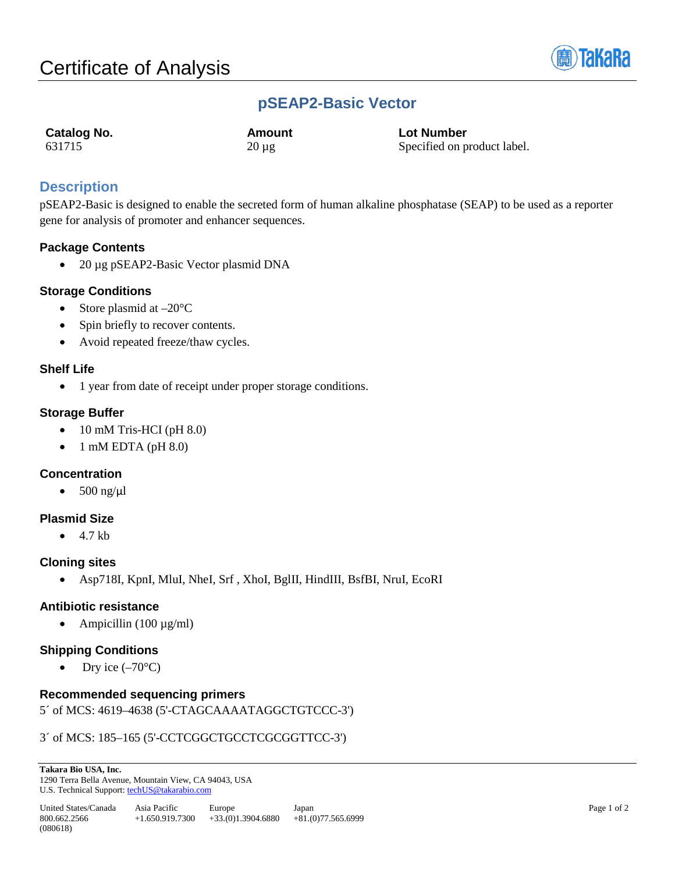

# **pSEAP2-Basic Vector**

| Catalog No. | Amount     | <b>Lot Number</b>           |
|-------------|------------|-----------------------------|
| 631715      | $20 \mu g$ | Specified on product label. |

## **Description**

pSEAP2-Basic is designed to enable the secreted form of human alkaline phosphatase (SEAP) to be used as a reporter gene for analysis of promoter and enhancer sequences.

### **Package Contents**

• 20 µg pSEAP2-Basic Vector plasmid DNA

#### **Storage Conditions**

- Store plasmid at  $-20^{\circ}$ C
- Spin briefly to recover contents.
- Avoid repeated freeze/thaw cycles.

#### **Shelf Life**

• 1 year from date of receipt under proper storage conditions.

### **Storage Buffer**

- 10 mM Tris-HCI (pH 8.0)
- 1 mM EDTA (pH 8.0)

### **Concentration**

•  $500$  ng/ $\mu$ l

#### **Plasmid Size**

 $\bullet$  4.7 kb

#### **Cloning sites**

• Asp718I, KpnI, MluI, NheI, Srf , XhoI, BglII, HindIII, BsfBI, NruI, EcoRI

### **Antibiotic resistance**

• Ampicillin  $(100 \mu g/ml)$ 

### **Shipping Conditions**

Dry ice  $(-70^{\circ}C)$ 

### **Recommended sequencing primers**

5´ of MCS: 4619–4638 (5'-CTAGCAAAATAGGCTGTCCC-3')

#### 3´ of MCS: 185–165 (5'-CCTCGGCTGCCTCGCGGTTCC-3')

**Takara Bio USA, Inc.**  1290 Terra Bella Avenue, Mountain View, CA 94043, USA U.S. Technical Support[: techUS@takarabio.com](mailto:techUS@takarabio.com)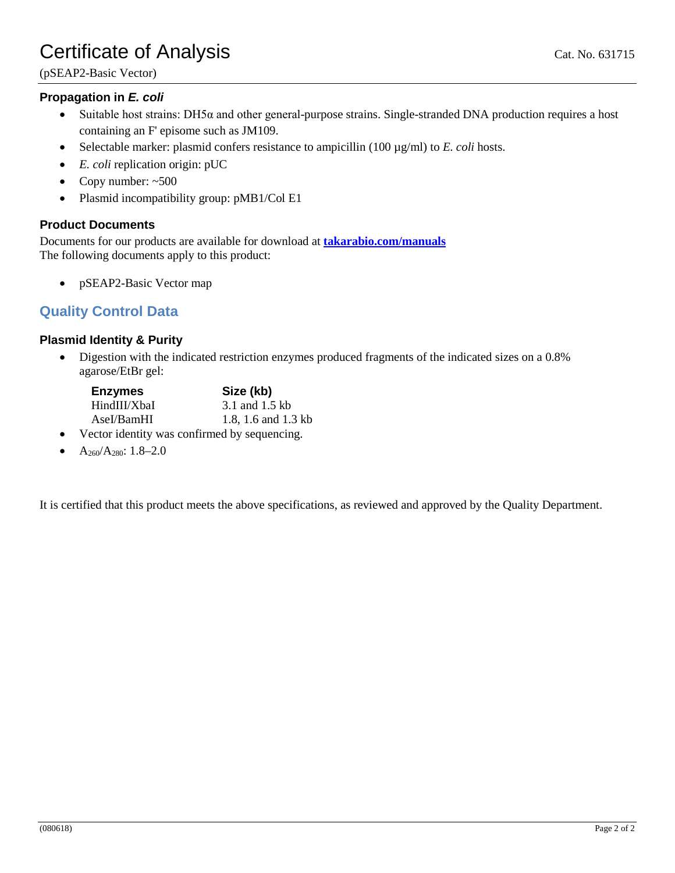# Certificate of Analysis Cat. No. 631715

(pSEAP2-Basic Vector)

### **Propagation in** *E. coli*

- Suitable host strains:  $DH5\alpha$  and other general-purpose strains. Single-stranded DNA production requires a host containing an F' episome such as JM109.
- Selectable marker: plasmid confers resistance to ampicillin (100 µg/ml) to *E. coli* hosts.
- *E. coli* replication origin: pUC
- Copy number:  $~500$
- Plasmid incompatibility group: pMB1/Col E1

#### **Product Documents**

Documents for our products are available for download at **[takarabio.com/manuals](http://www.takarabio.com/manuals)** The following documents apply to this product:

• pSEAP2-Basic Vector map

## **Quality Control Data**

### **Plasmid Identity & Purity**

• Digestion with the indicated restriction enzymes produced fragments of the indicated sizes on a 0.8% agarose/EtBr gel:

| <b>Enzymes</b> | Size (kb)                                           |
|----------------|-----------------------------------------------------|
| HindIII/XbaI   | 3.1 and 1.5 kb                                      |
| AseI/BamHI     | 1.8, 1.6 and 1.3 kb                                 |
|                | i Lantan i dantitro roma nan Cuma d'Isronamentale a |

- Vector identity was confirmed by sequencing.
- $A_{260}/A_{280}$ : 1.8–2.0

It is certified that this product meets the above specifications, as reviewed and approved by the Quality Department.